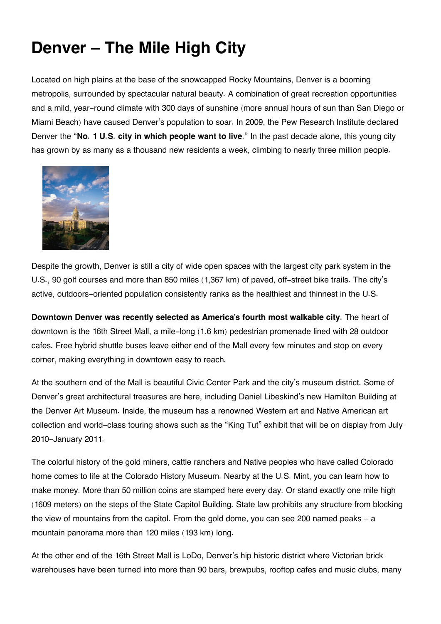## **Denver – The Mile High City**

Located on high plains at the base of the snowcapped Rocky Mountains, Denver is a booming metropolis, surrounded by spectacular natural beauty. A combination of great recreation opportunities and a mild, year-round climate with 300 days of sunshine (more annual hours of sun than San Diego or Miami Beach) have caused Denver's population to soar. In 2009, the Pew Research Institute declared Denver the "**No. 1 U.S. city in which people want to live**." In the past decade alone, this young city has grown by as many as a thousand new residents a week, climbing to nearly three million people.



Despite the growth, Denver is still a city of wide open spaces with the largest city park system in the U.S., 90 golf courses and more than 850 miles (1,367 km) of paved, off-street bike trails. The city's active, outdoors-oriented population consistently ranks as the healthiest and thinnest in the U.S.

**Downtown Denver was recently selected as America's fourth most walkable city.** The heart of downtown is the 16th Street Mall, a mile-long (1.6 km) pedestrian promenade lined with 28 outdoor cafes. Free hybrid shuttle buses leave either end of the Mall every few minutes and stop on every corner, making everything in downtown easy to reach.

At the southern end of the Mall is beautiful Civic Center Park and the city's museum district. Some of Denver's great architectural treasures are here, including Daniel Libeskind's new Hamilton Building at the Denver Art Museum. Inside, the museum has a renowned Western art and Native American art collection and world-class touring shows such as the "King Tut" exhibit that will be on display from July 2010-January 2011.

The colorful history of the gold miners, cattle ranchers and Native peoples who have called Colorado home comes to life at the Colorado History Museum. Nearby at the U.S. Mint, you can learn how to make money. More than 50 million coins are stamped here every day. Or stand exactly one mile high (1609 meters) on the steps of the State Capitol Building. State law prohibits any structure from blocking the view of mountains from the capitol. From the gold dome, you can see 200 named peaks – a mountain panorama more than 120 miles (193 km) long.

At the other end of the 16th Street Mall is LoDo, Denver's hip historic district where Victorian brick warehouses have been turned into more than 90 bars, brewpubs, rooftop cafes and music clubs, many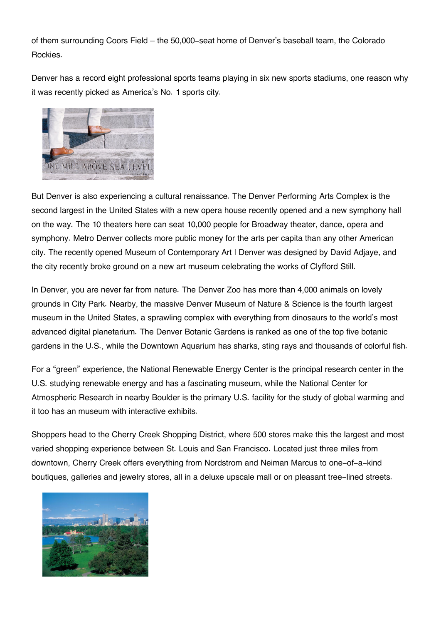of them surrounding Coors Field – the 50,000-seat home of Denver's baseball team, the Colorado Rockies.

Denver has a record eight professional sports teams playing in six new sports stadiums, one reason why it was recently picked as America's No. 1 sports city.



But Denver is also experiencing a cultural renaissance. The Denver Performing Arts Complex is the second largest in the United States with a new opera house recently opened and a new symphony hall on the way. The 10 theaters here can seat 10,000 people for Broadway theater, dance, opera and symphony. Metro Denver collects more public money for the arts per capita than any other American city. The recently opened Museum of Contemporary Art I Denver was designed by David Adjaye, and the city recently broke ground on a new art museum celebrating the works of Clyfford Still.

In Denver, you are never far from nature. The Denver Zoo has more than 4,000 animals on lovely grounds in City Park. Nearby, the massive Denver Museum of Nature & Science is the fourth largest museum in the United States, a sprawling complex with everything from dinosaurs to the world's most advanced digital planetarium. The Denver Botanic Gardens is ranked as one of the top five botanic gardens in the U.S., while the Downtown Aquarium has sharks, sting rays and thousands of colorful fish.

For a "green" experience, the National Renewable Energy Center is the principal research center in the U.S. studying renewable energy and has a fascinating museum, while the National Center for Atmospheric Research in nearby Boulder is the primary U.S. facility for the study of global warming and it too has an museum with interactive exhibits.

Shoppers head to the Cherry Creek Shopping District, where 500 stores make this the largest and most varied shopping experience between St. Louis and San Francisco. Located just three miles from downtown, Cherry Creek offers everything from Nordstrom and Neiman Marcus to one-of-a-kind boutiques, galleries and jewelry stores, all in a deluxe upscale mall or on pleasant tree-lined streets.